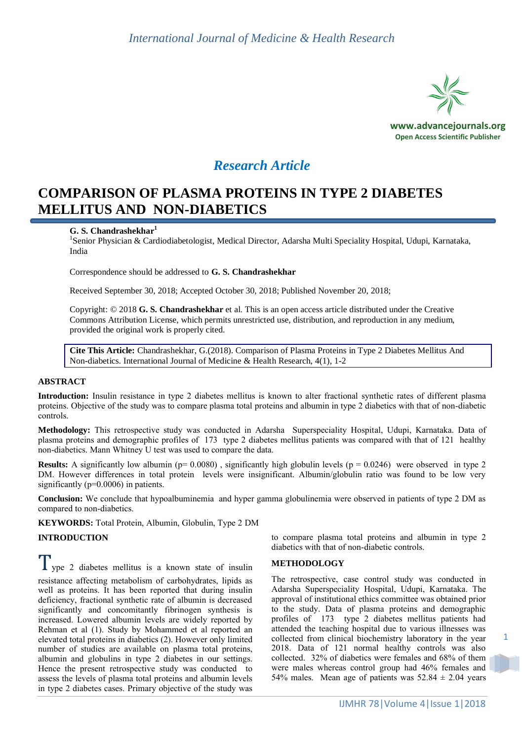

**www.advancejournals.org Open Access Scientific Publisher**

# *Research Article*

# **COMPARISON OF PLASMA PROTEINS IN TYPE 2 DIABETES MELLITUS AND NON-DIABETICS**

## **G. S. Chandrashekhar<sup>1</sup>**

<sup>1</sup>Senior Physician & Cardiodiabetologist, Medical Director, Adarsha Multi Speciality Hospital, Udupi, Karnataka, India

Correspondence should be addressed to **G. S. Chandrashekhar**

Received September 30, 2018; Accepted October 30, 2018; Published November 20, 2018;

Copyright: © 2018 **G. S. Chandrashekhar** et al. This is an open access article distributed under the Creative Commons Attribution License, which permits unrestricted use, distribution, and reproduction in any medium, provided the original work is properly cited.

**Cite This Article:** Chandrashekhar, G.(2018). Comparison of Plasma Proteins in Type 2 Diabetes Mellitus And Non-diabetics. International Journal of Medicine & Health Research, 4(1), 1-2

### **ABSTRACT**

**Introduction:** Insulin resistance in type 2 diabetes mellitus is known to alter fractional synthetic rates of different plasma proteins. Objective of the study was to compare plasma total proteins and albumin in type 2 diabetics with that of non-diabetic controls.

**Methodology:** This retrospective study was conducted in Adarsha Superspeciality Hospital, Udupi, Karnataka. Data of plasma proteins and demographic profiles of 173 type 2 diabetes mellitus patients was compared with that of 121 healthy non-diabetics. Mann Whitney U test was used to compare the data.

**Results:** A significantly low albumin ( $p= 0.0080$ ), significantly high globulin levels ( $p = 0.0246$ ) were observed in type 2 DM. However differences in total protein levels were insignificant. Albumin/globulin ratio was found to be low very significantly ( $p=0.0006$ ) in patients.

**Conclusion:** We conclude that hypoalbuminemia and hyper gamma globulinemia were observed in patients of type 2 DM as compared to non-diabetics.

**KEYWORDS:** Total Protein, Albumin, Globulin, Type 2 DM

### **INTRODUCTION**

 $\perp$  ype 2 diabetes mellitus is a known state of insulin resistance affecting metabolism of carbohydrates, lipids as

well as proteins. It has been reported that during insulin deficiency, fractional synthetic rate of albumin is decreased significantly and concomitantly fibrinogen synthesis is increased. Lowered albumin levels are widely reported by Rehman et al (1). Study by Mohammed et al reported an elevated total proteins in diabetics (2). However only limited number of studies are available on plasma total proteins, albumin and globulins in type 2 diabetes in our settings. Hence the present retrospective study was conducted to assess the levels of plasma total proteins and albumin levels in type 2 diabetes cases. Primary objective of the study was to compare plasma total proteins and albumin in type 2 diabetics with that of non-diabetic controls.

### **METHODOLOGY**

The retrospective, case control study was conducted in Adarsha Superspeciality Hospital, Udupi, Karnataka. The approval of institutional ethics committee was obtained prior to the study. Data of plasma proteins and demographic profiles of 173 type 2 diabetes mellitus patients had attended the teaching hospital due to various illnesses was collected from clinical biochemistry laboratory in the year 2018. Data of 121 normal healthy controls was also collected. 32% of diabetics were females and 68% of them were males whereas control group had 46% females and 54% males. Mean age of patients was  $52.84 \pm 2.04$  years